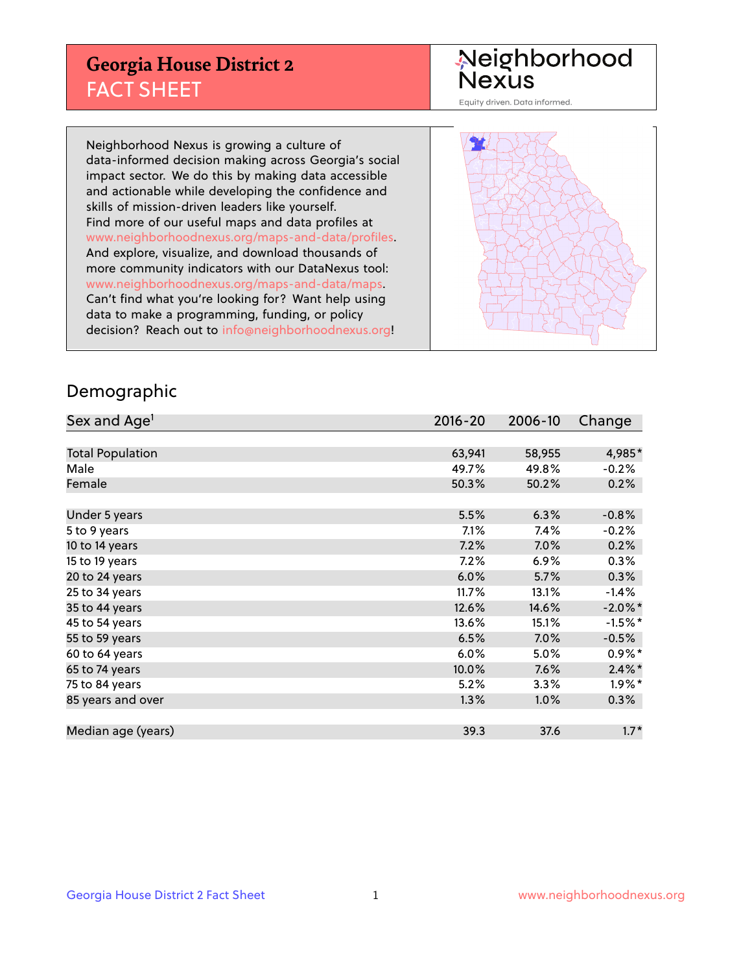## **Georgia House District 2** FACT SHEET

Neighborhood<br>Nexus

Equity driven. Data informed.

Neighborhood Nexus is growing a culture of data-informed decision making across Georgia's social impact sector. We do this by making data accessible and actionable while developing the confidence and skills of mission-driven leaders like yourself. Find more of our useful maps and data profiles at www.neighborhoodnexus.org/maps-and-data/profiles. And explore, visualize, and download thousands of more community indicators with our DataNexus tool: www.neighborhoodnexus.org/maps-and-data/maps. Can't find what you're looking for? Want help using data to make a programming, funding, or policy decision? Reach out to [info@neighborhoodnexus.org!](mailto:info@neighborhoodnexus.org)



#### Demographic

| Sex and Age <sup>1</sup> | $2016 - 20$ | 2006-10 | Change               |
|--------------------------|-------------|---------|----------------------|
|                          |             |         |                      |
| <b>Total Population</b>  | 63,941      | 58,955  | 4,985*               |
| Male                     | 49.7%       | 49.8%   | $-0.2%$              |
| Female                   | 50.3%       | 50.2%   | 0.2%                 |
|                          |             |         |                      |
| Under 5 years            | 5.5%        | 6.3%    | $-0.8%$              |
| 5 to 9 years             | 7.1%        | 7.4%    | $-0.2%$              |
| 10 to 14 years           | 7.2%        | 7.0%    | 0.2%                 |
| 15 to 19 years           | 7.2%        | 6.9%    | 0.3%                 |
| 20 to 24 years           | 6.0%        | 5.7%    | 0.3%                 |
| 25 to 34 years           | 11.7%       | 13.1%   | $-1.4%$              |
| 35 to 44 years           | 12.6%       | 14.6%   | $-2.0\%$ *           |
| 45 to 54 years           | 13.6%       | 15.1%   | $-1.5%$ *            |
| 55 to 59 years           | 6.5%        | 7.0%    | $-0.5%$              |
| 60 to 64 years           | 6.0%        | 5.0%    | $0.9\%*$             |
| 65 to 74 years           | 10.0%       | 7.6%    | $2.4\%$ *            |
| 75 to 84 years           | 5.2%        | 3.3%    | $1.9\%$ <sup>*</sup> |
| 85 years and over        | 1.3%        | 1.0%    | 0.3%                 |
|                          |             |         |                      |
| Median age (years)       | 39.3        | 37.6    | $1.7*$               |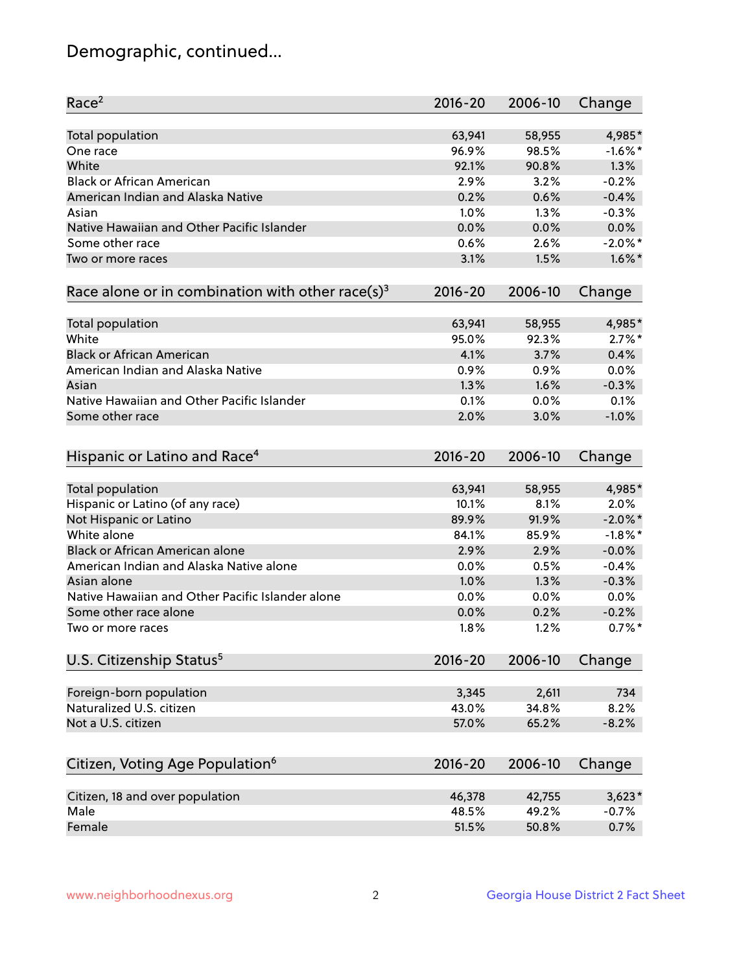# Demographic, continued...

| Race <sup>2</sup>                                            | $2016 - 20$ | 2006-10 | Change     |
|--------------------------------------------------------------|-------------|---------|------------|
| <b>Total population</b>                                      | 63,941      | 58,955  | 4,985*     |
| One race                                                     | 96.9%       | 98.5%   | $-1.6\%$ * |
| White                                                        | 92.1%       | 90.8%   | 1.3%       |
| <b>Black or African American</b>                             | 2.9%        | 3.2%    | $-0.2%$    |
| American Indian and Alaska Native                            | 0.2%        | 0.6%    | $-0.4%$    |
| Asian                                                        | 1.0%        | 1.3%    | $-0.3%$    |
| Native Hawaiian and Other Pacific Islander                   | 0.0%        | 0.0%    | 0.0%       |
| Some other race                                              | 0.6%        | 2.6%    | $-2.0\%$ * |
| Two or more races                                            | 3.1%        | 1.5%    | $1.6\%$ *  |
| Race alone or in combination with other race(s) <sup>3</sup> | $2016 - 20$ | 2006-10 | Change     |
| Total population                                             | 63,941      | 58,955  | 4,985*     |
| White                                                        | 95.0%       | 92.3%   | $2.7\%$ *  |
| <b>Black or African American</b>                             | 4.1%        | 3.7%    | 0.4%       |
| American Indian and Alaska Native                            | 0.9%        | 0.9%    | 0.0%       |
| Asian                                                        | 1.3%        | 1.6%    | $-0.3%$    |
| Native Hawaiian and Other Pacific Islander                   |             |         |            |
|                                                              | 0.1%        | 0.0%    | 0.1%       |
| Some other race                                              | 2.0%        | 3.0%    | $-1.0%$    |
| Hispanic or Latino and Race <sup>4</sup>                     | $2016 - 20$ | 2006-10 | Change     |
| <b>Total population</b>                                      | 63,941      | 58,955  | 4,985*     |
| Hispanic or Latino (of any race)                             | 10.1%       | 8.1%    | 2.0%       |
| Not Hispanic or Latino                                       | 89.9%       | 91.9%   | $-2.0\%$ * |
| White alone                                                  | 84.1%       | 85.9%   | $-1.8\%$ * |
| Black or African American alone                              | 2.9%        | 2.9%    | $-0.0%$    |
| American Indian and Alaska Native alone                      | 0.0%        | 0.5%    | $-0.4%$    |
| Asian alone                                                  | 1.0%        | 1.3%    | $-0.3%$    |
| Native Hawaiian and Other Pacific Islander alone             | 0.0%        | 0.0%    | 0.0%       |
| Some other race alone                                        | 0.0%        | 0.2%    | $-0.2%$    |
| Two or more races                                            | 1.8%        | 1.2%    | $0.7%$ *   |
|                                                              |             |         |            |
| U.S. Citizenship Status <sup>5</sup>                         | $2016 - 20$ | 2006-10 | Change     |
| Foreign-born population                                      | 3,345       | 2,611   | 734        |
| Naturalized U.S. citizen                                     | 43.0%       | 34.8%   | 8.2%       |
| Not a U.S. citizen                                           | 57.0%       | 65.2%   | $-8.2%$    |
|                                                              |             |         |            |
| Citizen, Voting Age Population <sup>6</sup>                  | 2016-20     | 2006-10 | Change     |
| Citizen, 18 and over population                              | 46,378      | 42,755  | $3,623*$   |
| Male                                                         | 48.5%       | 49.2%   | $-0.7%$    |
| Female                                                       | 51.5%       | 50.8%   | 0.7%       |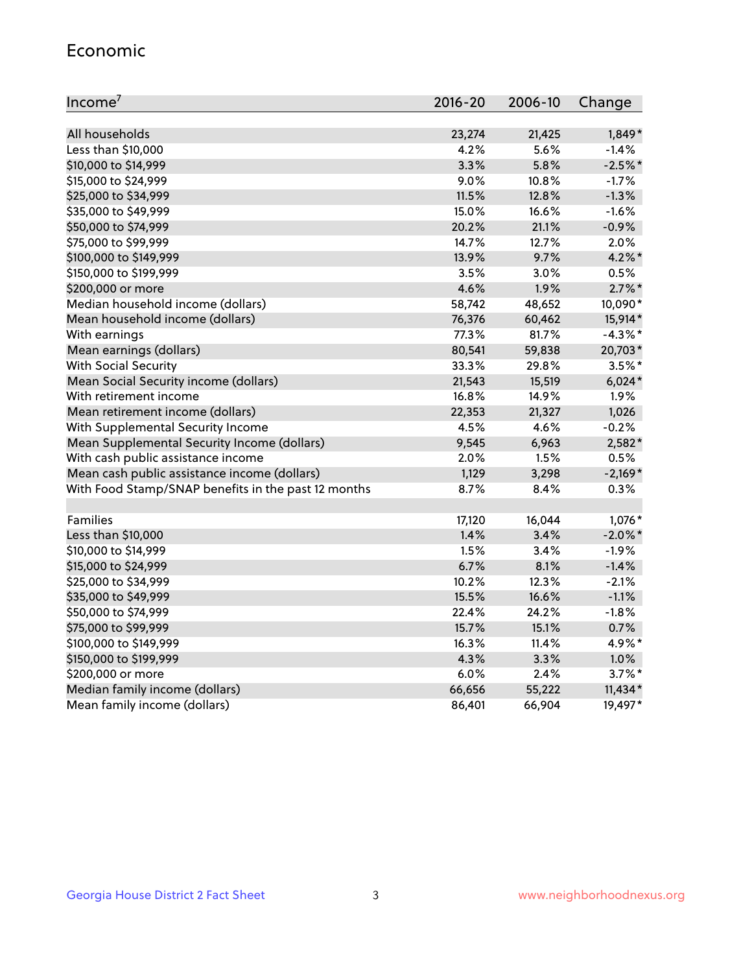#### Economic

| Income <sup>7</sup>                                 | 2016-20 | 2006-10 | Change     |
|-----------------------------------------------------|---------|---------|------------|
|                                                     |         |         |            |
| All households                                      | 23,274  | 21,425  | $1,849*$   |
| Less than \$10,000                                  | 4.2%    | 5.6%    | $-1.4%$    |
| \$10,000 to \$14,999                                | 3.3%    | 5.8%    | $-2.5%$ *  |
| \$15,000 to \$24,999                                | 9.0%    | 10.8%   | $-1.7%$    |
| \$25,000 to \$34,999                                | 11.5%   | 12.8%   | $-1.3%$    |
| \$35,000 to \$49,999                                | 15.0%   | 16.6%   | $-1.6%$    |
| \$50,000 to \$74,999                                | 20.2%   | 21.1%   | $-0.9%$    |
| \$75,000 to \$99,999                                | 14.7%   | 12.7%   | 2.0%       |
| \$100,000 to \$149,999                              | 13.9%   | 9.7%    | $4.2\%$ *  |
| \$150,000 to \$199,999                              | 3.5%    | 3.0%    | 0.5%       |
| \$200,000 or more                                   | 4.6%    | 1.9%    | $2.7\%$ *  |
| Median household income (dollars)                   | 58,742  | 48,652  | 10,090*    |
| Mean household income (dollars)                     | 76,376  | 60,462  | 15,914*    |
| With earnings                                       | 77.3%   | 81.7%   | $-4.3\%$ * |
| Mean earnings (dollars)                             | 80,541  | 59,838  | 20,703*    |
| <b>With Social Security</b>                         | 33.3%   | 29.8%   | $3.5%$ *   |
| Mean Social Security income (dollars)               | 21,543  | 15,519  | $6,024*$   |
| With retirement income                              | 16.8%   | 14.9%   | 1.9%       |
| Mean retirement income (dollars)                    | 22,353  | 21,327  | 1,026      |
| With Supplemental Security Income                   | 4.5%    | 4.6%    | $-0.2%$    |
| Mean Supplemental Security Income (dollars)         | 9,545   | 6,963   | 2,582*     |
| With cash public assistance income                  | 2.0%    | 1.5%    | 0.5%       |
| Mean cash public assistance income (dollars)        | 1,129   | 3,298   | $-2,169*$  |
| With Food Stamp/SNAP benefits in the past 12 months | 8.7%    | 8.4%    | 0.3%       |
|                                                     |         |         |            |
| Families                                            | 17,120  | 16,044  | 1,076*     |
| Less than \$10,000                                  | 1.4%    | 3.4%    | $-2.0\%$ * |
| \$10,000 to \$14,999                                | 1.5%    | 3.4%    | $-1.9%$    |
| \$15,000 to \$24,999                                | 6.7%    | 8.1%    | $-1.4%$    |
| \$25,000 to \$34,999                                | 10.2%   | 12.3%   | $-2.1%$    |
| \$35,000 to \$49,999                                | 15.5%   | 16.6%   | $-1.1%$    |
| \$50,000 to \$74,999                                | 22.4%   | 24.2%   | $-1.8%$    |
| \$75,000 to \$99,999                                | 15.7%   | 15.1%   | 0.7%       |
| \$100,000 to \$149,999                              | 16.3%   | 11.4%   | 4.9%*      |
| \$150,000 to \$199,999                              | 4.3%    | 3.3%    | 1.0%       |
| \$200,000 or more                                   | 6.0%    | 2.4%    | $3.7\%$ *  |
| Median family income (dollars)                      | 66,656  | 55,222  | $11,434*$  |
| Mean family income (dollars)                        | 86,401  | 66,904  | 19,497*    |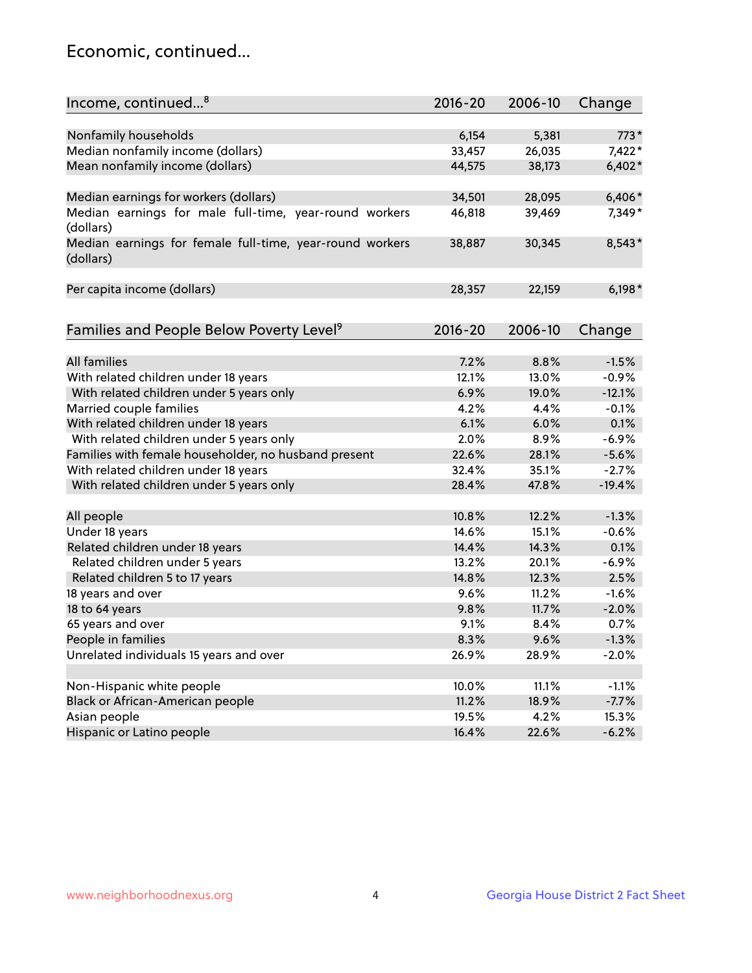## Economic, continued...

| Income, continued <sup>8</sup>                           | $2016 - 20$ | 2006-10 | Change   |
|----------------------------------------------------------|-------------|---------|----------|
|                                                          |             |         |          |
| Nonfamily households                                     | 6,154       | 5,381   | $773*$   |
| Median nonfamily income (dollars)                        | 33,457      | 26,035  | 7,422*   |
| Mean nonfamily income (dollars)                          | 44,575      | 38,173  | $6,402*$ |
| Median earnings for workers (dollars)                    | 34,501      | 28,095  | $6,406*$ |
| Median earnings for male full-time, year-round workers   | 46,818      | 39,469  | 7,349*   |
| (dollars)                                                |             |         |          |
| Median earnings for female full-time, year-round workers | 38,887      | 30,345  | 8,543*   |
| (dollars)                                                |             |         |          |
|                                                          |             |         |          |
| Per capita income (dollars)                              | 28,357      | 22,159  | $6,198*$ |
|                                                          |             |         |          |
| Families and People Below Poverty Level <sup>9</sup>     | $2016 - 20$ | 2006-10 | Change   |
|                                                          |             |         |          |
| <b>All families</b>                                      | 7.2%        | 8.8%    | $-1.5%$  |
| With related children under 18 years                     | 12.1%       | 13.0%   | $-0.9%$  |
| With related children under 5 years only                 | 6.9%        | 19.0%   | $-12.1%$ |
| Married couple families                                  | 4.2%        | 4.4%    | $-0.1%$  |
| With related children under 18 years                     | 6.1%        | 6.0%    | 0.1%     |
| With related children under 5 years only                 | 2.0%        | 8.9%    | $-6.9%$  |
| Families with female householder, no husband present     | 22.6%       | 28.1%   | $-5.6%$  |
| With related children under 18 years                     | 32.4%       | 35.1%   | $-2.7%$  |
| With related children under 5 years only                 | 28.4%       | 47.8%   | $-19.4%$ |
|                                                          |             |         |          |
| All people                                               | 10.8%       | 12.2%   | $-1.3%$  |
| Under 18 years                                           | 14.6%       | 15.1%   | $-0.6%$  |
| Related children under 18 years                          | 14.4%       | 14.3%   | 0.1%     |
| Related children under 5 years                           | 13.2%       | 20.1%   | $-6.9%$  |
| Related children 5 to 17 years                           | 14.8%       | 12.3%   | 2.5%     |
| 18 years and over                                        | 9.6%        | 11.2%   | $-1.6%$  |
| 18 to 64 years                                           | 9.8%        | 11.7%   | $-2.0%$  |
| 65 years and over                                        | 9.1%        | 8.4%    | 0.7%     |
| People in families                                       | 8.3%        | 9.6%    | $-1.3%$  |
| Unrelated individuals 15 years and over                  | 26.9%       | 28.9%   | $-2.0%$  |
|                                                          |             |         |          |
| Non-Hispanic white people                                | 10.0%       | 11.1%   | $-1.1%$  |
| Black or African-American people                         | 11.2%       | 18.9%   | $-7.7%$  |
| Asian people                                             | 19.5%       | 4.2%    | 15.3%    |
| Hispanic or Latino people                                | 16.4%       | 22.6%   | $-6.2%$  |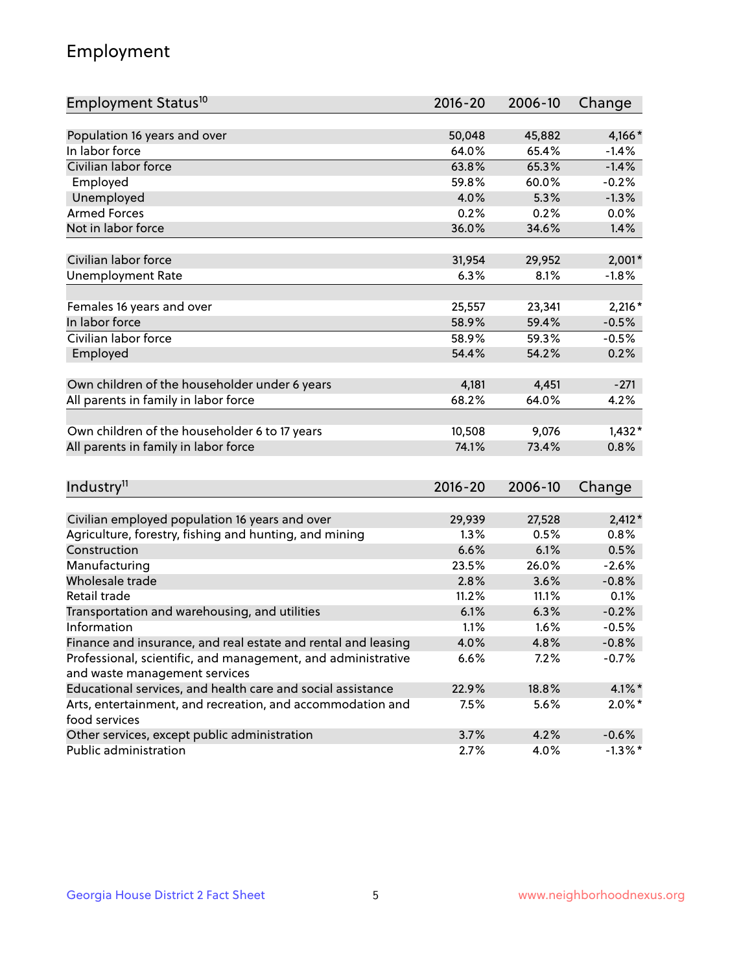# Employment

| Employment Status <sup>10</sup>                                                               | $2016 - 20$ | 2006-10 | Change     |
|-----------------------------------------------------------------------------------------------|-------------|---------|------------|
|                                                                                               |             |         |            |
| Population 16 years and over                                                                  | 50,048      | 45,882  | 4,166*     |
| In labor force                                                                                | 64.0%       | 65.4%   | $-1.4%$    |
| Civilian labor force                                                                          | 63.8%       | 65.3%   | $-1.4%$    |
| Employed                                                                                      | 59.8%       | 60.0%   | $-0.2%$    |
| Unemployed                                                                                    | 4.0%        | 5.3%    | $-1.3%$    |
| <b>Armed Forces</b>                                                                           | 0.2%        | 0.2%    | 0.0%       |
| Not in labor force                                                                            | 36.0%       | 34.6%   | 1.4%       |
|                                                                                               |             |         |            |
| Civilian labor force                                                                          | 31,954      | 29,952  | $2,001*$   |
| <b>Unemployment Rate</b>                                                                      | 6.3%        | 8.1%    | $-1.8%$    |
| Females 16 years and over                                                                     | 25,557      | 23,341  | $2,216*$   |
| In labor force                                                                                | 58.9%       | 59.4%   | $-0.5%$    |
| Civilian labor force                                                                          | 58.9%       | 59.3%   | $-0.5%$    |
| Employed                                                                                      | 54.4%       | 54.2%   | 0.2%       |
|                                                                                               |             |         |            |
| Own children of the householder under 6 years                                                 | 4,181       | 4,451   | $-271$     |
| All parents in family in labor force                                                          | 68.2%       | 64.0%   | 4.2%       |
|                                                                                               |             |         |            |
| Own children of the householder 6 to 17 years                                                 | 10,508      | 9,076   | $1,432*$   |
| All parents in family in labor force                                                          | 74.1%       | 73.4%   | 0.8%       |
|                                                                                               |             |         |            |
| Industry <sup>11</sup>                                                                        | $2016 - 20$ | 2006-10 | Change     |
|                                                                                               |             |         |            |
| Civilian employed population 16 years and over                                                | 29,939      | 27,528  | $2,412*$   |
| Agriculture, forestry, fishing and hunting, and mining                                        | 1.3%        | 0.5%    | 0.8%       |
| Construction                                                                                  | 6.6%        | 6.1%    | 0.5%       |
| Manufacturing                                                                                 | 23.5%       | 26.0%   | $-2.6%$    |
| Wholesale trade                                                                               | 2.8%        | 3.6%    | $-0.8%$    |
| Retail trade                                                                                  | 11.2%       | 11.1%   | 0.1%       |
| Transportation and warehousing, and utilities                                                 | 6.1%        | 6.3%    | $-0.2%$    |
| Information                                                                                   | 1.1%        | 1.6%    | $-0.5%$    |
| Finance and insurance, and real estate and rental and leasing                                 | 4.0%        | 4.8%    | $-0.8%$    |
| Professional, scientific, and management, and administrative<br>and waste management services | 6.6%        | 7.2%    | $-0.7%$    |
| Educational services, and health care and social assistance                                   | 22.9%       | 18.8%   | $4.1\%$ *  |
| Arts, entertainment, and recreation, and accommodation and                                    |             |         |            |
| food services                                                                                 | 7.5%        | 5.6%    | $2.0\%$ *  |
| Other services, except public administration                                                  | 3.7%        | 4.2%    | $-0.6%$    |
| Public administration                                                                         | 2.7%        | 4.0%    | $-1.3\%$ * |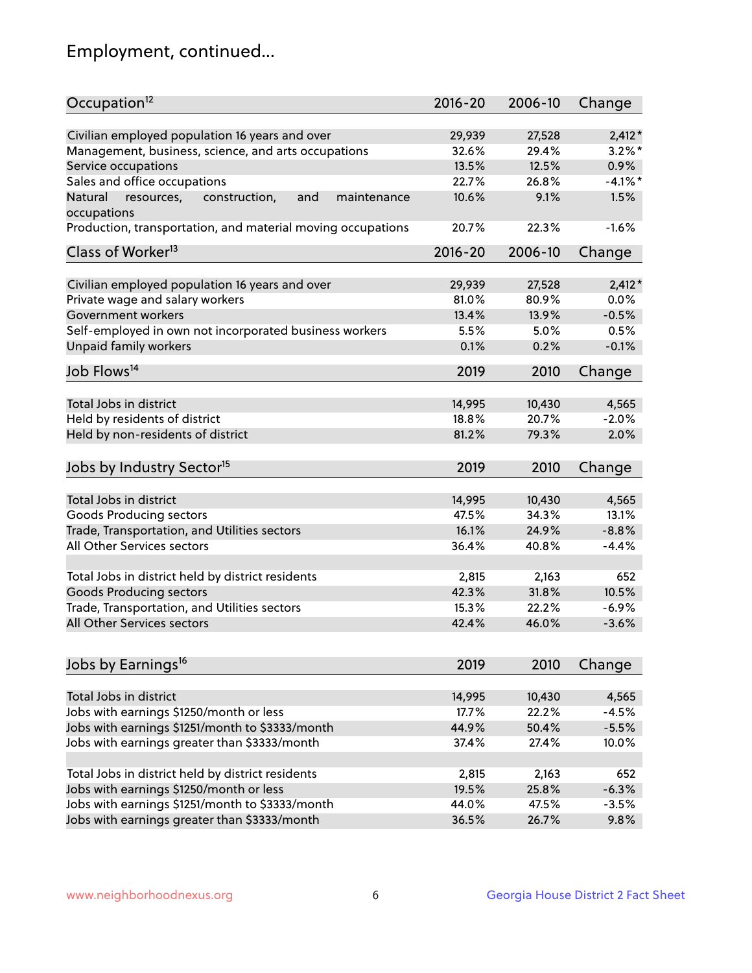# Employment, continued...

| Occupation <sup>12</sup>                                    | $2016 - 20$ | 2006-10 | Change     |
|-------------------------------------------------------------|-------------|---------|------------|
| Civilian employed population 16 years and over              | 29,939      | 27,528  | $2,412*$   |
| Management, business, science, and arts occupations         | 32.6%       | 29.4%   | $3.2\%$ *  |
| Service occupations                                         | 13.5%       | 12.5%   | 0.9%       |
| Sales and office occupations                                | 22.7%       | 26.8%   | $-4.1\%$ * |
| Natural<br>and<br>maintenance                               | 10.6%       | 9.1%    | 1.5%       |
| resources,<br>construction,<br>occupations                  |             |         |            |
| Production, transportation, and material moving occupations | 20.7%       | 22.3%   | $-1.6%$    |
| Class of Worker <sup>13</sup>                               | $2016 - 20$ | 2006-10 | Change     |
|                                                             |             |         |            |
| Civilian employed population 16 years and over              | 29,939      | 27,528  | $2,412*$   |
| Private wage and salary workers                             | 81.0%       | 80.9%   | 0.0%       |
| Government workers                                          | 13.4%       | 13.9%   | $-0.5%$    |
| Self-employed in own not incorporated business workers      | 5.5%        | 5.0%    | 0.5%       |
| Unpaid family workers                                       | 0.1%        | 0.2%    | $-0.1%$    |
| Job Flows <sup>14</sup>                                     | 2019        | 2010    | Change     |
|                                                             |             |         |            |
| Total Jobs in district                                      | 14,995      | 10,430  | 4,565      |
| Held by residents of district                               | 18.8%       | 20.7%   | $-2.0%$    |
| Held by non-residents of district                           | 81.2%       | 79.3%   | 2.0%       |
| Jobs by Industry Sector <sup>15</sup>                       | 2019        | 2010    | Change     |
|                                                             |             |         |            |
| Total Jobs in district                                      | 14,995      | 10,430  | 4,565      |
| Goods Producing sectors                                     | 47.5%       | 34.3%   | 13.1%      |
| Trade, Transportation, and Utilities sectors                | 16.1%       | 24.9%   | $-8.8%$    |
| All Other Services sectors                                  | 36.4%       | 40.8%   | $-4.4%$    |
|                                                             |             |         |            |
| Total Jobs in district held by district residents           | 2,815       | 2,163   | 652        |
| <b>Goods Producing sectors</b>                              | 42.3%       | 31.8%   | 10.5%      |
| Trade, Transportation, and Utilities sectors                | 15.3%       | 22.2%   | $-6.9%$    |
| All Other Services sectors                                  | 42.4%       | 46.0%   | $-3.6%$    |
| Jobs by Earnings <sup>16</sup>                              | 2019        | 2010    | Change     |
|                                                             |             |         |            |
| Total Jobs in district                                      | 14,995      | 10,430  | 4,565      |
| Jobs with earnings \$1250/month or less                     | 17.7%       | 22.2%   | $-4.5%$    |
| Jobs with earnings \$1251/month to \$3333/month             | 44.9%       | 50.4%   | $-5.5%$    |
| Jobs with earnings greater than \$3333/month                | 37.4%       | 27.4%   | 10.0%      |
|                                                             |             |         |            |
| Total Jobs in district held by district residents           | 2,815       | 2,163   | 652        |
| Jobs with earnings \$1250/month or less                     | 19.5%       | 25.8%   | $-6.3%$    |
| Jobs with earnings \$1251/month to \$3333/month             | 44.0%       | 47.5%   | $-3.5%$    |
| Jobs with earnings greater than \$3333/month                | 36.5%       | 26.7%   | 9.8%       |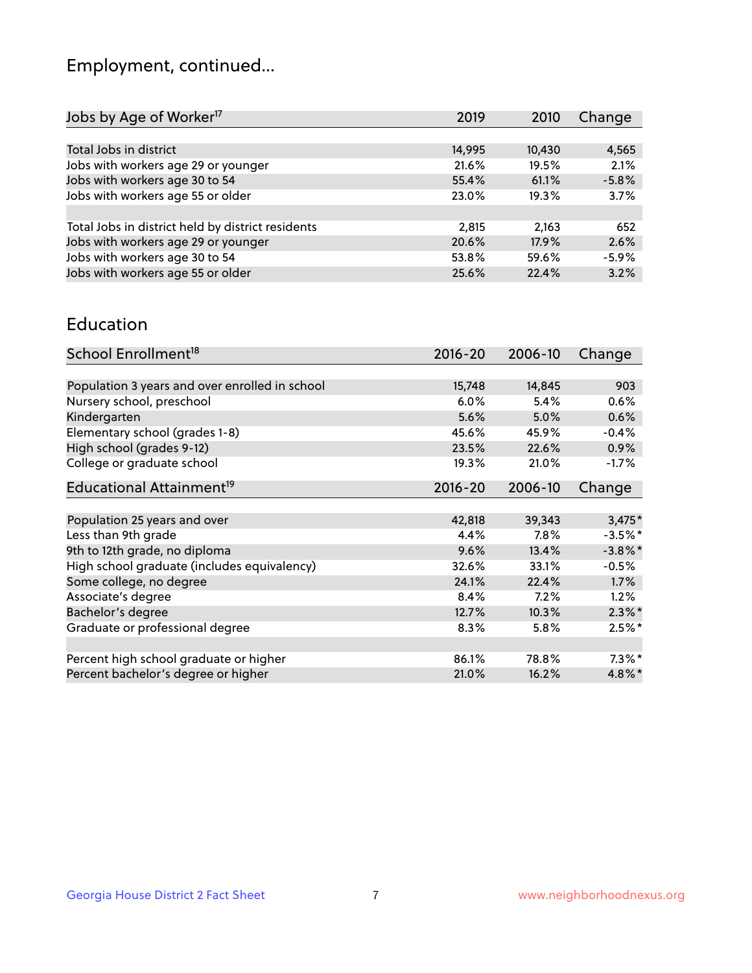# Employment, continued...

| Jobs by Age of Worker <sup>17</sup>               | 2019   | 2010   | Change  |
|---------------------------------------------------|--------|--------|---------|
|                                                   |        |        |         |
| Total Jobs in district                            | 14,995 | 10,430 | 4,565   |
| Jobs with workers age 29 or younger               | 21.6%  | 19.5%  | 2.1%    |
| Jobs with workers age 30 to 54                    | 55.4%  | 61.1%  | $-5.8%$ |
| Jobs with workers age 55 or older                 | 23.0%  | 19.3%  | 3.7%    |
|                                                   |        |        |         |
| Total Jobs in district held by district residents | 2,815  | 2,163  | 652     |
| Jobs with workers age 29 or younger               | 20.6%  | 17.9%  | 2.6%    |
| Jobs with workers age 30 to 54                    | 53.8%  | 59.6%  | $-5.9%$ |
| Jobs with workers age 55 or older                 | 25.6%  | 22.4%  | 3.2%    |

#### Education

| School Enrollment <sup>18</sup>                | $2016 - 20$ | 2006-10 | Change     |
|------------------------------------------------|-------------|---------|------------|
|                                                |             |         |            |
| Population 3 years and over enrolled in school | 15,748      | 14,845  | 903        |
| Nursery school, preschool                      | 6.0%        | 5.4%    | 0.6%       |
| Kindergarten                                   | 5.6%        | 5.0%    | 0.6%       |
| Elementary school (grades 1-8)                 | 45.6%       | 45.9%   | $-0.4%$    |
| High school (grades 9-12)                      | 23.5%       | 22.6%   | $0.9\%$    |
| College or graduate school                     | 19.3%       | 21.0%   | $-1.7%$    |
| Educational Attainment <sup>19</sup>           | $2016 - 20$ | 2006-10 | Change     |
|                                                |             |         |            |
| Population 25 years and over                   | 42,818      | 39,343  | $3,475*$   |
| Less than 9th grade                            | 4.4%        | $7.8\%$ | $-3.5%$ *  |
| 9th to 12th grade, no diploma                  | 9.6%        | 13.4%   | $-3.8\%$ * |
| High school graduate (includes equivalency)    | 32.6%       | 33.1%   | $-0.5%$    |
| Some college, no degree                        | 24.1%       | 22.4%   | $1.7\%$    |
| Associate's degree                             | 8.4%        | 7.2%    | 1.2%       |
| Bachelor's degree                              | 12.7%       | 10.3%   | $2.3\%$ *  |
| Graduate or professional degree                | 8.3%        | 5.8%    | $2.5%$ *   |
|                                                |             |         |            |
| Percent high school graduate or higher         | 86.1%       | 78.8%   | $7.3\%$ *  |
| Percent bachelor's degree or higher            | 21.0%       | 16.2%   | $4.8\%$ *  |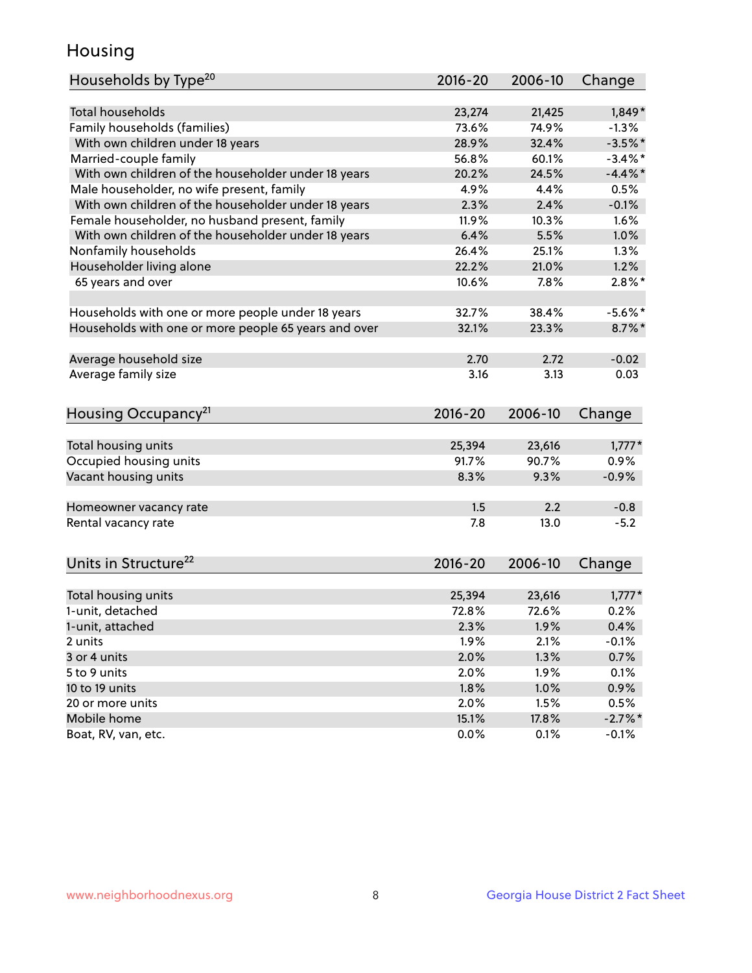## Housing

| Households by Type <sup>20</sup>                     | 2016-20 | 2006-10 | Change     |
|------------------------------------------------------|---------|---------|------------|
|                                                      |         |         |            |
| <b>Total households</b>                              | 23,274  | 21,425  | $1,849*$   |
| Family households (families)                         | 73.6%   | 74.9%   | $-1.3%$    |
| With own children under 18 years                     | 28.9%   | 32.4%   | $-3.5%$ *  |
| Married-couple family                                | 56.8%   | 60.1%   | $-3.4\%$ * |
| With own children of the householder under 18 years  | 20.2%   | 24.5%   | $-4.4%$    |
| Male householder, no wife present, family            | 4.9%    | 4.4%    | 0.5%       |
| With own children of the householder under 18 years  | 2.3%    | 2.4%    | $-0.1%$    |
| Female householder, no husband present, family       | 11.9%   | 10.3%   | 1.6%       |
| With own children of the householder under 18 years  | 6.4%    | 5.5%    | 1.0%       |
| Nonfamily households                                 | 26.4%   | 25.1%   | $1.3\%$    |
| Householder living alone                             | 22.2%   | 21.0%   | 1.2%       |
| 65 years and over                                    | 10.6%   | 7.8%    | $2.8\%$ *  |
|                                                      |         |         |            |
| Households with one or more people under 18 years    | 32.7%   | 38.4%   | $-5.6%$ *  |
| Households with one or more people 65 years and over | 32.1%   | 23.3%   | $8.7\%$ *  |
|                                                      |         |         |            |
| Average household size                               | 2.70    | 2.72    | $-0.02$    |
| Average family size                                  | 3.16    | 3.13    | 0.03       |
|                                                      |         |         |            |
| Housing Occupancy <sup>21</sup>                      | 2016-20 | 2006-10 | Change     |
|                                                      |         |         |            |
| Total housing units                                  | 25,394  | 23,616  | $1,777*$   |
| Occupied housing units                               | 91.7%   | 90.7%   | 0.9%       |
| Vacant housing units                                 | 8.3%    | 9.3%    | $-0.9%$    |
|                                                      |         |         |            |
| Homeowner vacancy rate                               | 1.5     | 2.2     | $-0.8$     |
| Rental vacancy rate                                  | 7.8     | 13.0    | $-5.2$     |
|                                                      |         |         |            |
| Units in Structure <sup>22</sup>                     | 2016-20 | 2006-10 | Change     |
|                                                      |         |         |            |
| Total housing units                                  | 25,394  | 23,616  | $1,777*$   |
| 1-unit, detached                                     | 72.8%   | 72.6%   | 0.2%       |
| 1-unit, attached                                     | $2.3\%$ | 1.9%    | 0.4%       |
| 2 units                                              | 1.9%    | 2.1%    | $-0.1%$    |
| 3 or 4 units                                         | 2.0%    | 1.3%    | 0.7%       |
| 5 to 9 units                                         | 2.0%    | 1.9%    | 0.1%       |
| 10 to 19 units                                       | 1.8%    | 1.0%    | 0.9%       |
| 20 or more units                                     | 2.0%    | 1.5%    | 0.5%       |
| Mobile home                                          | 15.1%   | 17.8%   | $-2.7%$ *  |
| Boat, RV, van, etc.                                  | 0.0%    | 0.1%    | $-0.1%$    |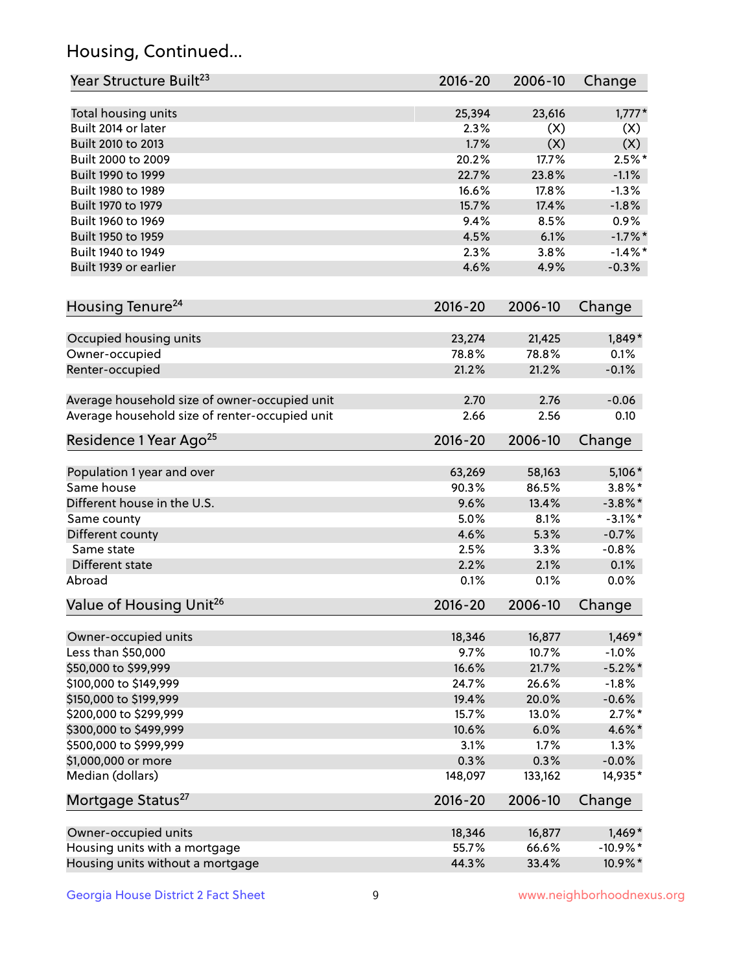# Housing, Continued...

| Year Structure Built <sup>23</sup>             | 2016-20     | 2006-10 | Change     |
|------------------------------------------------|-------------|---------|------------|
| Total housing units                            | 25,394      | 23,616  | $1,777*$   |
| Built 2014 or later                            | 2.3%        | (X)     | (X)        |
| Built 2010 to 2013                             | 1.7%        | (X)     | (X)        |
| Built 2000 to 2009                             | 20.2%       | 17.7%   | $2.5%$ *   |
| Built 1990 to 1999                             | 22.7%       | 23.8%   | $-1.1%$    |
| Built 1980 to 1989                             | 16.6%       | 17.8%   | $-1.3%$    |
| Built 1970 to 1979                             | 15.7%       | 17.4%   | $-1.8%$    |
| Built 1960 to 1969                             | 9.4%        | 8.5%    | 0.9%       |
| Built 1950 to 1959                             | 4.5%        | 6.1%    | $-1.7%$ *  |
| Built 1940 to 1949                             | 2.3%        | 3.8%    | $-1.4\%$ * |
| Built 1939 or earlier                          | 4.6%        | 4.9%    | $-0.3%$    |
| Housing Tenure <sup>24</sup>                   | 2016-20     | 2006-10 | Change     |
|                                                |             |         |            |
| Occupied housing units                         | 23,274      | 21,425  | $1,849*$   |
| Owner-occupied                                 | 78.8%       | 78.8%   | 0.1%       |
| Renter-occupied                                | 21.2%       | 21.2%   | $-0.1%$    |
| Average household size of owner-occupied unit  | 2.70        | 2.76    | $-0.06$    |
| Average household size of renter-occupied unit | 2.66        | 2.56    | 0.10       |
| Residence 1 Year Ago <sup>25</sup>             | 2016-20     | 2006-10 | Change     |
| Population 1 year and over                     | 63,269      | 58,163  | $5,106*$   |
| Same house                                     | 90.3%       | 86.5%   | $3.8\%$ *  |
| Different house in the U.S.                    | 9.6%        | 13.4%   | $-3.8\%$ * |
| Same county                                    | 5.0%        | 8.1%    | $-3.1\%$ * |
| Different county                               | 4.6%        | 5.3%    | $-0.7%$    |
| Same state                                     | 2.5%        | 3.3%    | $-0.8%$    |
| Different state                                | 2.2%        | 2.1%    | 0.1%       |
| Abroad                                         | 0.1%        | 0.1%    | 0.0%       |
| Value of Housing Unit <sup>26</sup>            | $2016 - 20$ | 2006-10 | Change     |
|                                                |             |         |            |
| Owner-occupied units                           | 18,346      | 16,877  | $1,469*$   |
| Less than \$50,000                             | 9.7%        | 10.7%   | $-1.0%$    |
| \$50,000 to \$99,999                           | 16.6%       | 21.7%   | $-5.2\%$ * |
| \$100,000 to \$149,999                         | 24.7%       | 26.6%   | $-1.8%$    |
| \$150,000 to \$199,999                         | 19.4%       | 20.0%   | $-0.6%$    |
| \$200,000 to \$299,999                         | 15.7%       | 13.0%   | $2.7\%$ *  |
| \$300,000 to \$499,999                         | 10.6%       | 6.0%    | 4.6%*      |
| \$500,000 to \$999,999                         | 3.1%        | 1.7%    | 1.3%       |
| \$1,000,000 or more                            | 0.3%        | 0.3%    | $-0.0%$    |
| Median (dollars)                               | 148,097     | 133,162 | 14,935*    |
| Mortgage Status <sup>27</sup>                  | $2016 - 20$ | 2006-10 | Change     |
| Owner-occupied units                           | 18,346      | 16,877  | $1,469*$   |
| Housing units with a mortgage                  | 55.7%       | 66.6%   | $-10.9%$ * |
| Housing units without a mortgage               | 44.3%       | 33.4%   | 10.9%*     |
|                                                |             |         |            |

Georgia House District 2 Fact Sheet 9 9 9 Www.neighborhoodnexus.org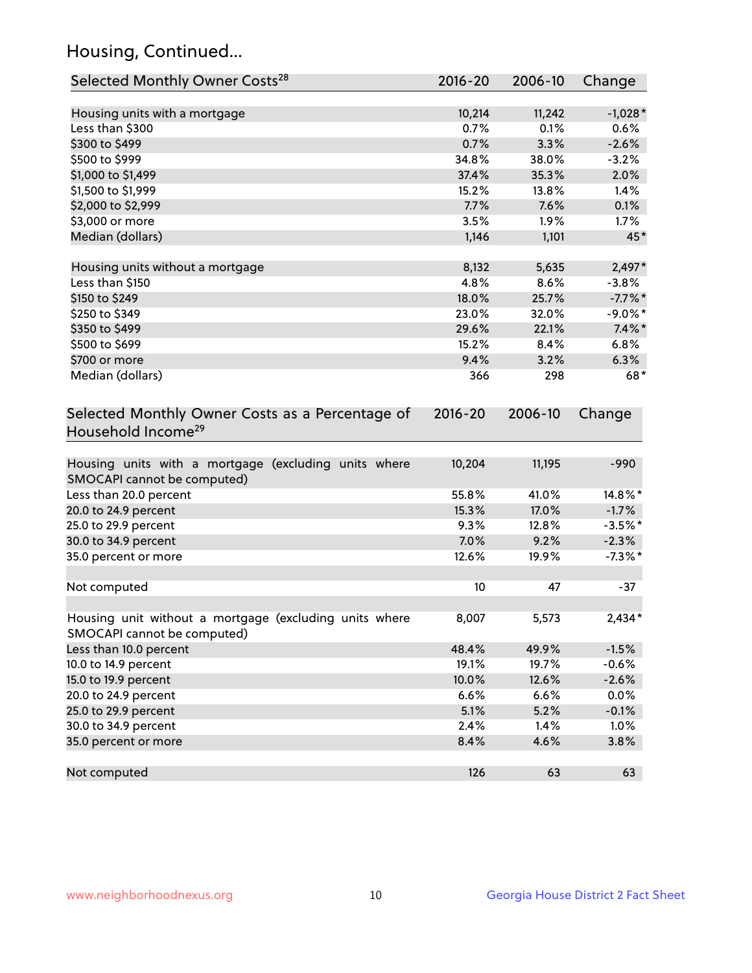# Housing, Continued...

| Selected Monthly Owner Costs <sup>28</sup>                                            | 2016-20     | 2006-10 | Change     |
|---------------------------------------------------------------------------------------|-------------|---------|------------|
| Housing units with a mortgage                                                         | 10,214      | 11,242  | $-1,028*$  |
| Less than \$300                                                                       | 0.7%        | 0.1%    | 0.6%       |
| \$300 to \$499                                                                        | 0.7%        | 3.3%    | $-2.6%$    |
| \$500 to \$999                                                                        | 34.8%       | 38.0%   | $-3.2%$    |
| \$1,000 to \$1,499                                                                    | 37.4%       | 35.3%   | 2.0%       |
| \$1,500 to \$1,999                                                                    | 15.2%       | 13.8%   | 1.4%       |
| \$2,000 to \$2,999                                                                    | 7.7%        | 7.6%    | 0.1%       |
| \$3,000 or more                                                                       | 3.5%        | 1.9%    | 1.7%       |
| Median (dollars)                                                                      | 1,146       | 1,101   | 45*        |
| Housing units without a mortgage                                                      | 8,132       | 5,635   | $2,497*$   |
| Less than \$150                                                                       | 4.8%        | 8.6%    | $-3.8%$    |
| \$150 to \$249                                                                        | 18.0%       | 25.7%   | $-7.7%$ *  |
| \$250 to \$349                                                                        | 23.0%       | 32.0%   | $-9.0\%$ * |
| \$350 to \$499                                                                        | 29.6%       | 22.1%   | $7.4\%$ *  |
| \$500 to \$699                                                                        | 15.2%       | 8.4%    | 6.8%       |
| \$700 or more                                                                         | 9.4%        | 3.2%    | 6.3%       |
| Median (dollars)                                                                      | 366         | 298     | $68*$      |
| Selected Monthly Owner Costs as a Percentage of<br>Household Income <sup>29</sup>     | $2016 - 20$ | 2006-10 | Change     |
| Housing units with a mortgage (excluding units where<br>SMOCAPI cannot be computed)   | 10,204      | 11,195  | $-990$     |
| Less than 20.0 percent                                                                | 55.8%       | 41.0%   | 14.8%*     |
| 20.0 to 24.9 percent                                                                  | 15.3%       | 17.0%   | $-1.7%$    |
| 25.0 to 29.9 percent                                                                  | 9.3%        | 12.8%   | $-3.5%$ *  |
| 30.0 to 34.9 percent                                                                  | 7.0%        | 9.2%    | $-2.3%$    |
| 35.0 percent or more                                                                  | 12.6%       | 19.9%   | $-7.3\%$ * |
| Not computed                                                                          | 10          | 47      | $-37$      |
| Housing unit without a mortgage (excluding units where<br>SMOCAPI cannot be computed) | 8,007       | 5,573   | $2,434*$   |
| Less than 10.0 percent                                                                | 48.4%       | 49.9%   | $-1.5%$    |
| 10.0 to 14.9 percent                                                                  | 19.1%       | 19.7%   | $-0.6%$    |
| 15.0 to 19.9 percent                                                                  | 10.0%       | 12.6%   | $-2.6%$    |
| 20.0 to 24.9 percent                                                                  | 6.6%        | 6.6%    | 0.0%       |
| 25.0 to 29.9 percent                                                                  | 5.1%        | 5.2%    | $-0.1%$    |
| 30.0 to 34.9 percent                                                                  | 2.4%        | 1.4%    | 1.0%       |
| 35.0 percent or more                                                                  | 8.4%        | 4.6%    | 3.8%       |
| Not computed                                                                          | 126         | 63      | 63         |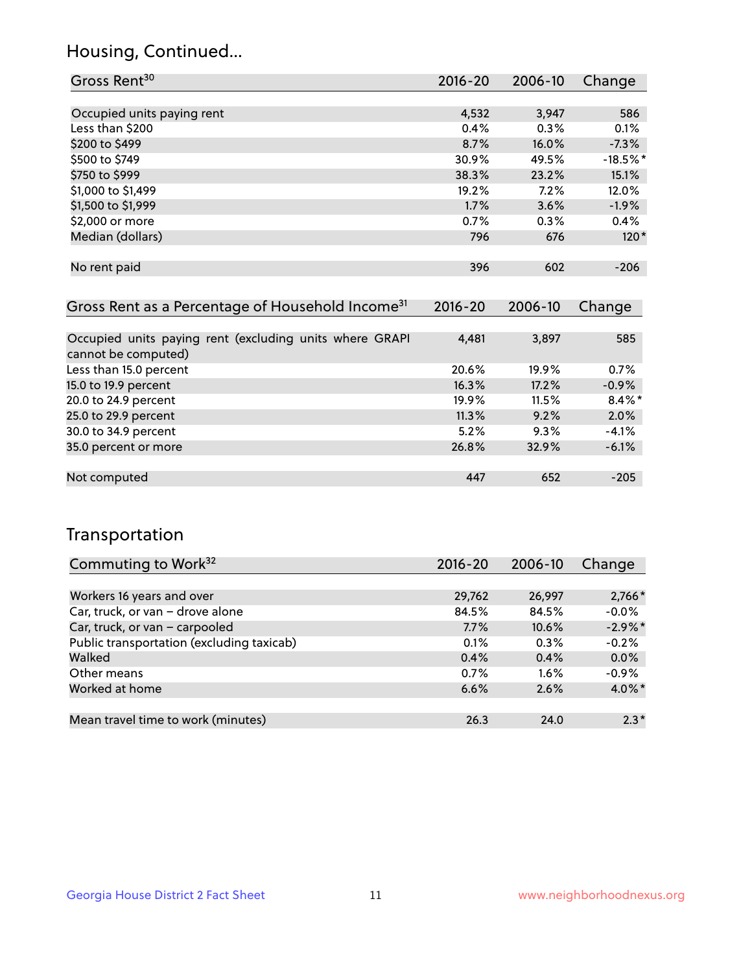## Housing, Continued...

| Gross Rent <sup>30</sup>                                     | 2016-20      | 2006-10 | Change     |
|--------------------------------------------------------------|--------------|---------|------------|
|                                                              |              |         |            |
| Occupied units paying rent                                   | 4,532        | 3,947   | 586        |
| Less than \$200                                              | 0.4%         | 0.3%    | 0.1%       |
| \$200 to \$499                                               | 8.7%         | 16.0%   | $-7.3%$    |
| \$500 to \$749                                               | 30.9%        | 49.5%   | $-18.5%$ * |
| \$750 to \$999                                               | 38.3%        | 23.2%   | 15.1%      |
| \$1,000 to \$1,499                                           | 19.2%        | 7.2%    | 12.0%      |
| \$1,500 to \$1,999                                           | 1.7%         | 3.6%    | $-1.9%$    |
| \$2,000 or more                                              | 0.7%         | 0.3%    | 0.4%       |
| Median (dollars)                                             | 796          | 676     | $120*$     |
|                                                              |              |         |            |
| No rent paid                                                 | 396          | 602     | $-206$     |
|                                                              |              |         |            |
| Gross Rent as a Percentage of Household Income <sup>31</sup> | $2016 - 20$  | 2006-10 | Change     |
|                                                              |              |         |            |
| Occupied units paving rent (excluding units where GRAPL      | $A$ $A$ $91$ | 2.807   | 585        |

| Occupied units paying rent (excluding units where GRAPI | 4.481 | 3,897 | 585       |
|---------------------------------------------------------|-------|-------|-----------|
| cannot be computed)                                     |       |       |           |
| Less than 15.0 percent                                  | 20.6% | 19.9% | 0.7%      |
| 15.0 to 19.9 percent                                    | 16.3% | 17.2% | $-0.9%$   |
| 20.0 to 24.9 percent                                    | 19.9% | 11.5% | $8.4\%$ * |
| 25.0 to 29.9 percent                                    | 11.3% | 9.2%  | 2.0%      |
| 30.0 to 34.9 percent                                    | 5.2%  | 9.3%  | $-4.1%$   |
| 35.0 percent or more                                    | 26.8% | 32.9% | $-6.1%$   |
|                                                         |       |       |           |
| Not computed                                            | 447   | 652   | $-205$    |

## Transportation

| Commuting to Work <sup>32</sup>           | 2016-20 | 2006-10 | Change     |
|-------------------------------------------|---------|---------|------------|
|                                           |         |         |            |
| Workers 16 years and over                 | 29,762  | 26,997  | $2,766*$   |
| Car, truck, or van - drove alone          | 84.5%   | 84.5%   | $-0.0%$    |
| Car, truck, or van - carpooled            | 7.7%    | 10.6%   | $-2.9\%$ * |
| Public transportation (excluding taxicab) | 0.1%    | 0.3%    | $-0.2%$    |
| Walked                                    | 0.4%    | 0.4%    | 0.0%       |
| Other means                               | 0.7%    | $1.6\%$ | $-0.9%$    |
| Worked at home                            | 6.6%    | 2.6%    | $4.0\%$ *  |
|                                           |         |         |            |
| Mean travel time to work (minutes)        | 26.3    | 24.0    | $2.3*$     |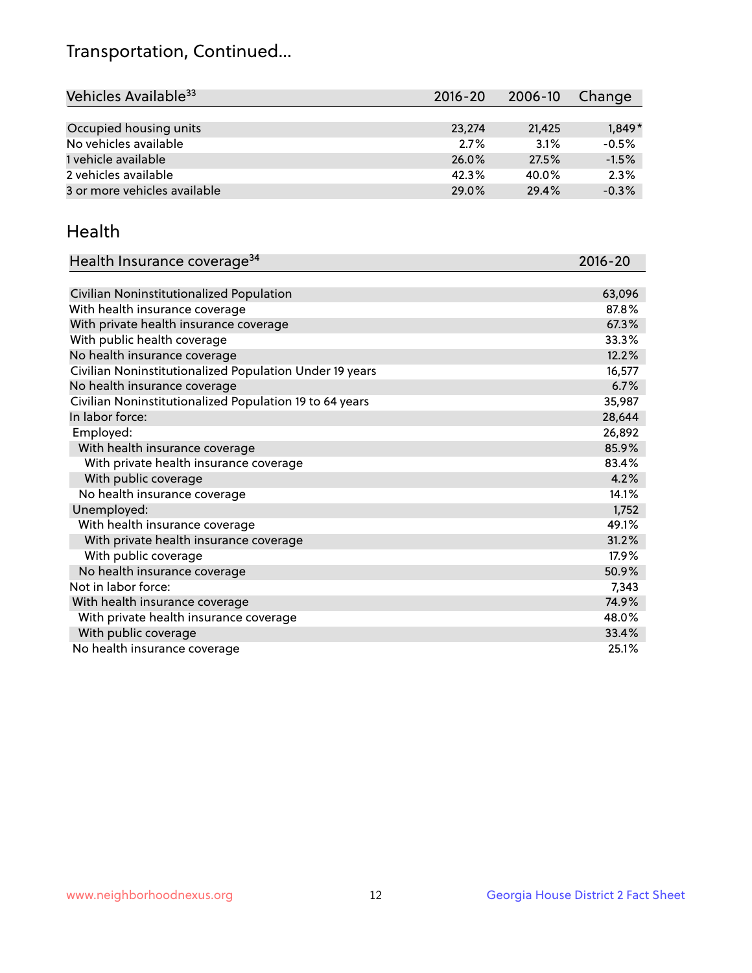## Transportation, Continued...

| Vehicles Available <sup>33</sup> | $2016 - 20$ | 2006-10 | Change   |
|----------------------------------|-------------|---------|----------|
|                                  |             |         |          |
| Occupied housing units           | 23,274      | 21.425  | $1,849*$ |
| No vehicles available            | 2.7%        | 3.1%    | $-0.5%$  |
| 1 vehicle available              | 26.0%       | 27.5%   | $-1.5%$  |
| 2 vehicles available             | 42.3%       | 40.0%   | 2.3%     |
| 3 or more vehicles available     | 29.0%       | 29.4%   | $-0.3%$  |

#### Health

| Health Insurance coverage <sup>34</sup>                 | 2016-20 |
|---------------------------------------------------------|---------|
|                                                         |         |
| Civilian Noninstitutionalized Population                | 63,096  |
| With health insurance coverage                          | 87.8%   |
| With private health insurance coverage                  | 67.3%   |
| With public health coverage                             | 33.3%   |
| No health insurance coverage                            | 12.2%   |
| Civilian Noninstitutionalized Population Under 19 years | 16,577  |
| No health insurance coverage                            | 6.7%    |
| Civilian Noninstitutionalized Population 19 to 64 years | 35,987  |
| In labor force:                                         | 28,644  |
| Employed:                                               | 26,892  |
| With health insurance coverage                          | 85.9%   |
| With private health insurance coverage                  | 83.4%   |
| With public coverage                                    | 4.2%    |
| No health insurance coverage                            | 14.1%   |
| Unemployed:                                             | 1,752   |
| With health insurance coverage                          | 49.1%   |
| With private health insurance coverage                  | 31.2%   |
| With public coverage                                    | 17.9%   |
| No health insurance coverage                            | 50.9%   |
| Not in labor force:                                     | 7,343   |
| With health insurance coverage                          | 74.9%   |
| With private health insurance coverage                  | 48.0%   |
| With public coverage                                    | 33.4%   |
| No health insurance coverage                            | 25.1%   |